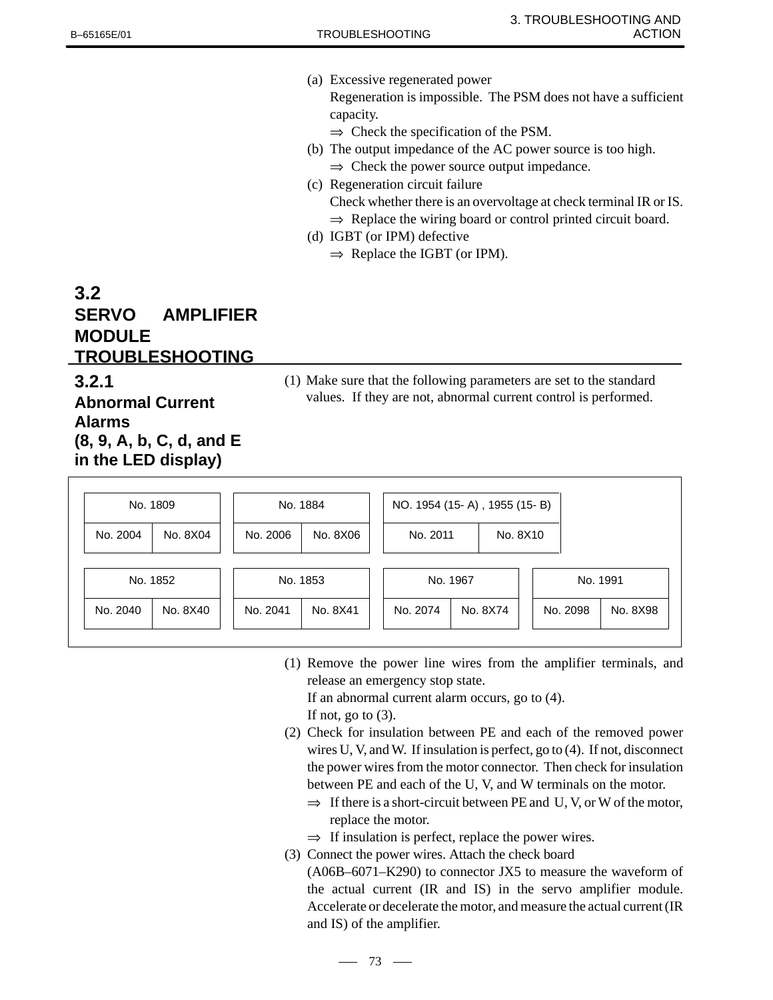(a) Excessive regenerated power

Regeneration is impossible. The PSM does not have a sufficient capacity.

- $\Rightarrow$  Check the specification of the PSM.
- (b) The output impedance of the AC power source is too high.  $\Rightarrow$  Check the power source output impedance.
- (c) Regeneration circuit failure
	- Check whether there is an overvoltage at check terminal IR or IS.
	- $\Rightarrow$  Replace the wiring board or control printed circuit board.
- (d) IGBT (or IPM) defective
	- $\Rightarrow$  Replace the IGBT (or IPM).

## **3.2 SERVO AMPLIFIER MODULE TROUBLESHOOTING**

## **3.2.1 Abnormal Current Alarms (8, 9, A, b, C, d, and E in the LED display)**

(1) Make sure that the following parameters are set to the standard values. If they are not, abnormal current control is performed.

| No. 1809 |          | No. 1884 |          | NO. 1954 (15- A), 1955 (15- B) |          |          |          |          |
|----------|----------|----------|----------|--------------------------------|----------|----------|----------|----------|
| No. 2004 | No. 8X04 | No. 2006 | No. 8X06 | No. 2011                       | No. 8X10 |          |          |          |
| No. 1852 |          | No. 1853 |          | No. 1967                       |          | No. 1991 |          |          |
| No. 2040 | No. 8X40 | No. 2041 | No. 8X41 | No. 2074                       | No. 8X74 |          | No. 2098 | No. 8X98 |

(1) Remove the power line wires from the amplifier terminals, and release an emergency stop state.

If an abnormal current alarm occurs, go to (4).

If not, go to  $(3)$ .

- (2) Check for insulation between PE and each of the removed power wires U, V, and W. If insulation is perfect, go to (4). If not, disconnect the power wires from the motor connector. Then check for insulation between PE and each of the U, V, and W terminals on the motor.
	- $\Rightarrow$  If there is a short-circuit between PE and U, V, or W of the motor, replace the motor.
	- $\Rightarrow$  If insulation is perfect, replace the power wires.
- (3) Connect the power wires. Attach the check board
	- (A06B–6071–K290) to connector JX5 to measure the waveform of the actual current (IR and IS) in the servo amplifier module. Accelerate or decelerate the motor, and measure the actual current (IR and IS) of the amplifier.

 $-73$   $-$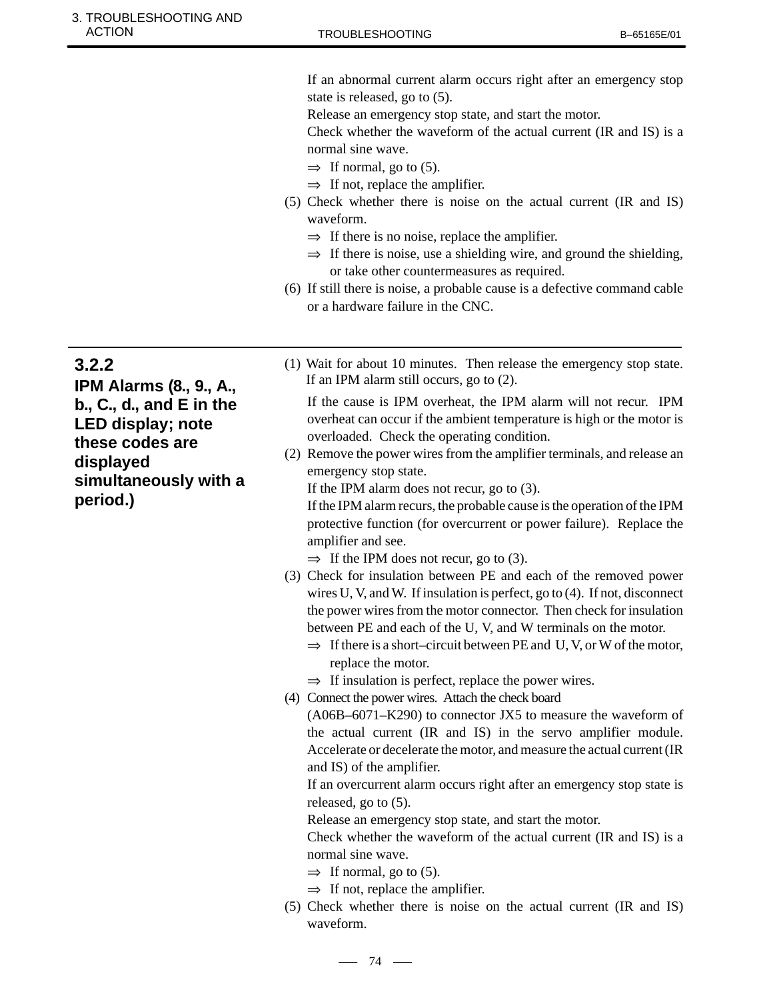## ACTION B-65165E/01 3. TROUBLESHOOTING AND

If an abnormal current alarm occurs right after an emergency stop state is released, go to (5).

Release an emergency stop state, and start the motor.

Check whether the waveform of the actual current (IR and IS) is a normal sine wave.

- $\Rightarrow$  If normal, go to (5).
- $\Rightarrow$  If not, replace the amplifier.
- (5) Check whether there is noise on the actual current (IR and IS) waveform.
	- $\Rightarrow$  If there is no noise, replace the amplifier.
	- $\Rightarrow$  If there is noise, use a shielding wire, and ground the shielding, or take other countermeasures as required.
- (6) If still there is noise, a probable cause is a defective command cable or a hardware failure in the CNC.

**3.2.2**

**IPM Alarms (8., 9., A., b., C., d., and E in the LED display; note these codes are displayed simultaneously with a period.)**

(1) Wait for about 10 minutes. Then release the emergency stop state. If an IPM alarm still occurs, go to (2).

If the cause is IPM overheat, the IPM alarm will not recur. IPM overheat can occur if the ambient temperature is high or the motor is overloaded. Check the operating condition.

(2) Remove the power wires from the amplifier terminals, and release an emergency stop state.

If the IPM alarm does not recur, go to (3).

If the IPM alarm recurs, the probable cause is the operation of the IPM protective function (for overcurrent or power failure). Replace the amplifier and see.

 $\Rightarrow$  If the IPM does not recur, go to (3).

- (3) Check for insulation between PE and each of the removed power wires U, V, and W. If insulation is perfect, go to (4). If not, disconnect the power wires from the motor connector. Then check for insulation between PE and each of the U, V, and W terminals on the motor.
	- $\Rightarrow$  If there is a short–circuit between PE and U, V, or W of the motor, replace the motor.
	- $\Rightarrow$  If insulation is perfect, replace the power wires.
- (4) Connect the power wires. Attach the check board

(A06B–6071–K290) to connector JX5 to measure the waveform of the actual current (IR and IS) in the servo amplifier module. Accelerate or decelerate the motor, and measure the actual current (IR and IS) of the amplifier.

If an overcurrent alarm occurs right after an emergency stop state is released, go to (5).

Release an emergency stop state, and start the motor.

Check whether the waveform of the actual current (IR and IS) is a normal sine wave.

- $\Rightarrow$  If normal, go to (5).
- $\Rightarrow$  If not, replace the amplifier.
- (5) Check whether there is noise on the actual current (IR and IS) waveform.

## $-74$   $-$